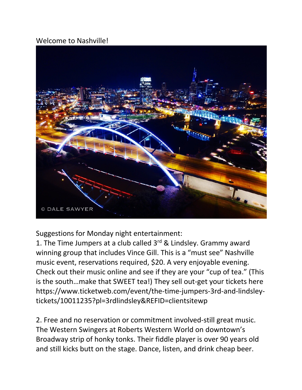## Welcome to Nashville!



Suggestions for Monday night entertainment:

1. The Time Jumpers at a club called  $3^{rd}$  & Lindsley. Grammy award winning group that includes Vince Gill. This is a "must see" Nashville music event, reservations required, \$20. A very enjoyable evening. Check out their music online and see if they are your "cup of tea." (This is the south…make that SWEET tea!) They sell out-get your tickets here https://www.ticketweb.com/event/the-time-jumpers-3rd-and-lindsleytickets/10011235?pl=3rdlindsley&REFID=clientsitewp

2. Free and no reservation or commitment involved-still great music. The Western Swingers at Roberts Western World on downtown's Broadway strip of honky tonks. Their fiddle player is over 90 years old and still kicks butt on the stage. Dance, listen, and drink cheap beer.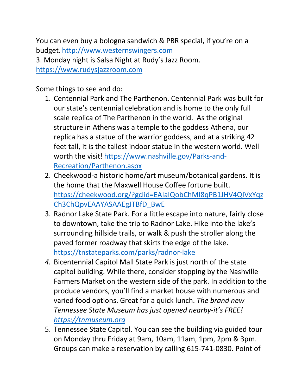You can even buy a bologna sandwich & PBR special, if you're on a budget. http://www.westernswingers.com 3. Monday night is Salsa Night at Rudy's Jazz Room. https://www.rudysjazzroom.com

Some things to see and do:

- 1. Centennial Park and The Parthenon. Centennial Park was built for our state's centennial celebration and is home to the only full scale replica of The Parthenon in the world. As the original structure in Athens was a temple to the goddess Athena, our replica has a statue of the warrior goddess, and at a striking 42 feet tall, it is the tallest indoor statue in the western world. Well worth the visit! https://www.nashville.gov/Parks-and-Recreation/Parthenon.aspx
- 2. Cheekwood-a historic home/art museum/botanical gardens. It is the home that the Maxwell House Coffee fortune built. https://cheekwood.org/?gclid=EAIaIQobChMI8qPB1JHV4QIVxYqz Ch3ChQpvEAAYASAAEgJTBfD\_BwE
- 3. Radnor Lake State Park. For a little escape into nature, fairly close to downtown, take the trip to Radnor Lake. Hike into the lake's surrounding hillside trails, or walk & push the stroller along the paved former roadway that skirts the edge of the lake. https://tnstateparks.com/parks/radnor-lake
- *4.* Bicentennial Capitol Mall State Park is just north of the state capitol building. While there, consider stopping by the Nashville Farmers Market on the western side of the park. In addition to the produce vendors, you'll find a market house with numerous and varied food options. Great for a quick lunch. *The brand new Tennessee State Museum has just opened nearby-it's FREE! https://tnmuseum.org*
- 5. Tennessee State Capitol. You can see the building via guided tour on Monday thru Friday at 9am, 10am, 11am, 1pm, 2pm & 3pm. Groups can make a reservation by calling 615-741-0830. Point of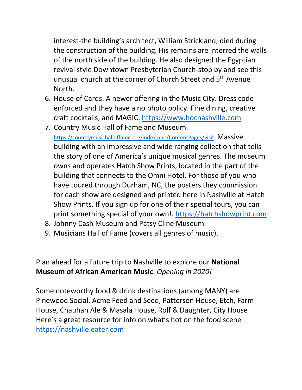interest-the building's architect, William Strickland, died during the construction of the building. His remains are interred the walls of the north side of the building. He also designed the Egyptian revival style Downtown Presbyterian Church-stop by and see this unusual church at the corner of Church Street and 5th Avenue North.

- 6. House of Cards. A newer offering in the Music City. Dress code enforced and they have a no photo policy. Fine dining, creative craft cocktails, and MAGIC. https://www.hocnashville.com
- 7. Country Music Hall of Fame and Museum.

https://countrymusichalloffame.org/index.php/ContentPages/visit Massive building with an impressive and wide ranging collection that tells the story of one of America's unique musical genres. The museum owns and operates Hatch Show Prints, located in the part of the building that connects to the Omni Hotel. For those of you who have toured through Durham, NC, the posters they commission for each show are designed and printed here in Nashville at Hatch Show Prints. If you sign up for one of their special tours, you can print something special of your own!. https://hatchshowprint.com

- 8. Johnny Cash Museum and Patsy Cline Museum.
- 9. Musicians Hall of Fame (covers all genres of music).

Plan ahead for a future trip to Nashville to explore our **National Museum of African American Music**. *Opening in 2020!*

Some noteworthy food & drink destinations (among MANY) are Pinewood Social, Acme Feed and Seed, Patterson House, Etch, Farm House, Chauhan Ale & Masala House, Rolf & Daughter, City House Here's a great resource for info on what's hot on the food scene https://nashville.eater.com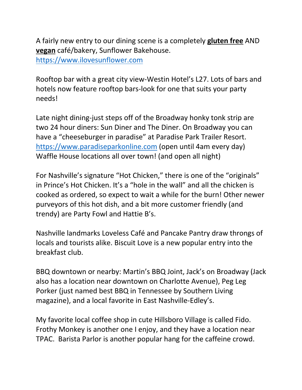A fairly new entry to our dining scene is a completely **gluten free** AND **vegan** café/bakery, Sunflower Bakehouse. https://www.ilovesunflower.com

Rooftop bar with a great city view-Westin Hotel's L27. Lots of bars and hotels now feature rooftop bars-look for one that suits your party needs!

Late night dining-just steps off of the Broadway honky tonk strip are two 24 hour diners: Sun Diner and The Diner. On Broadway you can have a "cheeseburger in paradise" at Paradise Park Trailer Resort. https://www.paradiseparkonline.com (open until 4am every day) Waffle House locations all over town! (and open all night)

For Nashville's signature "Hot Chicken," there is one of the "originals" in Prince's Hot Chicken. It's a "hole in the wall" and all the chicken is cooked as ordered, so expect to wait a while for the burn! Other newer purveyors of this hot dish, and a bit more customer friendly (and trendy) are Party Fowl and Hattie B's.

Nashville landmarks Loveless Café and Pancake Pantry draw throngs of locals and tourists alike. Biscuit Love is a new popular entry into the breakfast club.

BBQ downtown or nearby: Martin's BBQ Joint, Jack's on Broadway (Jack also has a location near downtown on Charlotte Avenue), Peg Leg Porker (just named best BBQ in Tennessee by Southern Living magazine), and a local favorite in East Nashville-Edley's.

My favorite local coffee shop in cute Hillsboro Village is called Fido. Frothy Monkey is another one I enjoy, and they have a location near TPAC. Barista Parlor is another popular hang for the caffeine crowd.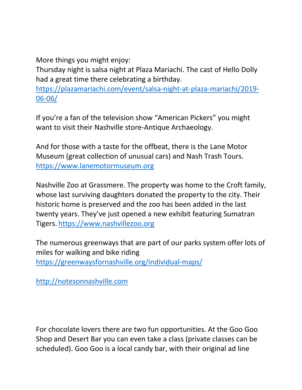More things you might enjoy:

Thursday night is salsa night at Plaza Mariachi. The cast of Hello Dolly had a great time there celebrating a birthday.

https://plazamariachi.com/event/salsa-night-at-plaza-mariachi/2019- 06-06/

If you're a fan of the television show "American Pickers" you might want to visit their Nashville store-Antique Archaeology.

And for those with a taste for the offbeat, there is the Lane Motor Museum (great collection of unusual cars) and Nash Trash Tours. https://www.lanemotormuseum.org

Nashville Zoo at Grassmere. The property was home to the Croft family, whose last surviving daughters donated the property to the city. Their historic home is preserved and the zoo has been added in the last twenty years. They've just opened a new exhibit featuring Sumatran Tigers. https://www.nashvillezoo.org

The numerous greenways that are part of our parks system offer lots of miles for walking and bike riding https://greenwaysfornashville.org/individual-maps/

http://notesonnashville.com

For chocolate lovers there are two fun opportunities. At the Goo Goo Shop and Desert Bar you can even take a class (private classes can be scheduled). Goo Goo is a local candy bar, with their original ad line